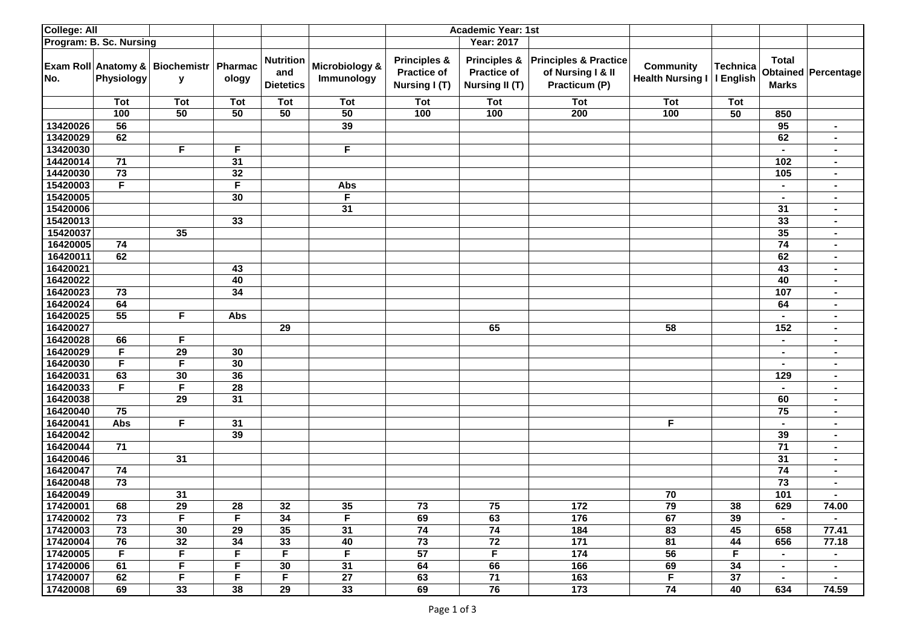| College: All            |                 |                                                |                 |                                             |                              |                                                                | <b>Academic Year: 1st</b>                                              |                                                                        |                                             |                              |                              |                     |
|-------------------------|-----------------|------------------------------------------------|-----------------|---------------------------------------------|------------------------------|----------------------------------------------------------------|------------------------------------------------------------------------|------------------------------------------------------------------------|---------------------------------------------|------------------------------|------------------------------|---------------------|
| Program: B. Sc. Nursing |                 |                                                |                 |                                             |                              | <b>Year: 2017</b>                                              |                                                                        |                                                                        |                                             |                              |                              |                     |
| No.                     | Physiology      | Exam Roll Anatomy & Biochemistr   Pharmac<br>y | ology           | <b>Nutrition</b><br>and<br><b>Dietetics</b> | Microbiology &<br>Immunology | <b>Principles &amp;</b><br><b>Practice of</b><br>Nursing I (T) | <b>Principles &amp;</b><br><b>Practice of</b><br><b>Nursing II (T)</b> | <b>Principles &amp; Practice</b><br>of Nursing I & II<br>Practicum (P) | <b>Community</b><br><b>Health Nursing I</b> | <b>Technica</b><br>I English | <b>Total</b><br><b>Marks</b> | Obtained Percentage |
|                         | Tot             | <b>Tot</b>                                     | Tot             | <b>Tot</b>                                  | Tot                          | Tot                                                            | <b>Tot</b>                                                             | <b>Tot</b>                                                             | <b>Tot</b>                                  | Tot                          |                              |                     |
|                         | 100             | 50                                             | 50              | 50                                          | 50                           | 100                                                            | 100                                                                    | 200                                                                    | 100                                         | 50                           | 850                          |                     |
| 13420026                | $\overline{56}$ |                                                |                 |                                             | 39                           |                                                                |                                                                        |                                                                        |                                             |                              | 95                           | ٠.                  |
| 13420029                | 62              |                                                |                 |                                             |                              |                                                                |                                                                        |                                                                        |                                             |                              | 62                           |                     |
| 13420030                |                 | $\overline{F}$                                 | F.              |                                             | $\overline{F}$               |                                                                |                                                                        |                                                                        |                                             |                              | $\blacksquare$               | $\blacksquare$      |
| 14420014                | 71              |                                                | 31              |                                             |                              |                                                                |                                                                        |                                                                        |                                             |                              | 102                          | $\blacksquare$      |
| 14420030                | 73              |                                                | 32              |                                             |                              |                                                                |                                                                        |                                                                        |                                             |                              | 105                          |                     |
| 15420003                | F               |                                                | F               |                                             | Abs                          |                                                                |                                                                        |                                                                        |                                             |                              | $\blacksquare$               | $\blacksquare$      |
| 15420005                |                 |                                                | 30              |                                             | F                            |                                                                |                                                                        |                                                                        |                                             |                              | $\blacksquare$               | ٠.                  |
| 15420006                |                 |                                                |                 |                                             | 31                           |                                                                |                                                                        |                                                                        |                                             |                              | 31                           | ٠.                  |
| 15420013                |                 |                                                | 33              |                                             |                              |                                                                |                                                                        |                                                                        |                                             |                              | 33                           | $\blacksquare$      |
| 15420037                |                 | 35                                             |                 |                                             |                              |                                                                |                                                                        |                                                                        |                                             |                              | 35                           | ٠.                  |
| 16420005                | 74              |                                                |                 |                                             |                              |                                                                |                                                                        |                                                                        |                                             |                              | 74                           | ٠.                  |
| 16420011                | 62              |                                                |                 |                                             |                              |                                                                |                                                                        |                                                                        |                                             |                              | 62                           | $\blacksquare$      |
| 16420021                |                 |                                                | 43              |                                             |                              |                                                                |                                                                        |                                                                        |                                             |                              | 43                           | ٠.                  |
| 16420022                |                 |                                                | 40              |                                             |                              |                                                                |                                                                        |                                                                        |                                             |                              | 40                           | ٠.                  |
| 16420023                | 73              |                                                | 34              |                                             |                              |                                                                |                                                                        |                                                                        |                                             |                              | 107                          |                     |
| 16420024                | 64              |                                                |                 |                                             |                              |                                                                |                                                                        |                                                                        |                                             |                              | 64                           | $\blacksquare$      |
| 16420025                | 55              | F                                              | Abs             |                                             |                              |                                                                |                                                                        |                                                                        |                                             |                              | $\blacksquare$               | ٠.                  |
| 16420027                |                 |                                                |                 | $\overline{29}$                             |                              |                                                                | 65                                                                     |                                                                        | 58                                          |                              | 152                          |                     |
| 16420028                | 66              | F                                              |                 |                                             |                              |                                                                |                                                                        |                                                                        |                                             |                              | $\sim$                       | ٠.                  |
| 16420029                | F               | $\overline{29}$                                | 30              |                                             |                              |                                                                |                                                                        |                                                                        |                                             |                              | $\blacksquare$               | ٠.                  |
| 16420030                | F               | F                                              | 30              |                                             |                              |                                                                |                                                                        |                                                                        |                                             |                              | $\blacksquare$               |                     |
| 16420031                | 63              | 30                                             | $\overline{36}$ |                                             |                              |                                                                |                                                                        |                                                                        |                                             |                              | 129                          | $\blacksquare$      |
| 16420033                | F               | F                                              | 28              |                                             |                              |                                                                |                                                                        |                                                                        |                                             |                              | $\blacksquare$               | ٠.                  |
| 16420038                |                 | 29                                             | $\overline{31}$ |                                             |                              |                                                                |                                                                        |                                                                        |                                             |                              | 60                           |                     |
| 16420040                | 75              |                                                |                 |                                             |                              |                                                                |                                                                        |                                                                        |                                             |                              | 75                           | $\blacksquare$      |
| 16420041                | <b>Abs</b>      | F                                              | 31              |                                             |                              |                                                                |                                                                        |                                                                        | F                                           |                              | $\blacksquare$               | $\blacksquare$      |
| 16420042                |                 |                                                | 39              |                                             |                              |                                                                |                                                                        |                                                                        |                                             |                              | 39                           |                     |
| 16420044                | 71              |                                                |                 |                                             |                              |                                                                |                                                                        |                                                                        |                                             |                              | 71                           |                     |
| 16420046                |                 | 31                                             |                 |                                             |                              |                                                                |                                                                        |                                                                        |                                             |                              | 31                           | ٠.                  |
| 16420047                | 74              |                                                |                 |                                             |                              |                                                                |                                                                        |                                                                        |                                             |                              | 74                           | ٠.                  |
| 16420048                | $\overline{73}$ |                                                |                 |                                             |                              |                                                                |                                                                        |                                                                        |                                             |                              | $\overline{73}$              |                     |
| 16420049                |                 | 31                                             |                 |                                             |                              |                                                                |                                                                        |                                                                        | 70                                          |                              | 101                          | ٠.                  |
| 17420001                | 68              | $\overline{29}$                                | 28              | 32                                          | 35                           | 73                                                             | 75                                                                     | $\overline{172}$                                                       | $\overline{79}$                             | 38                           | 629                          | 74.00               |
| 17420002                | 73              | F                                              | F.              | 34                                          | F.                           | 69                                                             | 63                                                                     | 176                                                                    | 67                                          | 39                           | $\sim$                       |                     |
| 17420003                | 73              | 30                                             | 29              | 35                                          | 31                           | 74                                                             | 74                                                                     | 184                                                                    | 83                                          | 45                           | 658                          | 77.41               |
| 17420004                | 76              | 32                                             | 34              | 33                                          | 40                           | 73                                                             | 72                                                                     | 171                                                                    | 81                                          | 44                           | 656                          | 77.18               |
| 17420005                | F.              | F.                                             | F.              | F                                           | F                            | 57                                                             | F.                                                                     | 174                                                                    | 56                                          | F.                           | $\blacksquare$               | $\sim$              |
| 17420006                | 61              | F.<br>F.                                       | F.<br>F         | 30<br>F                                     | 31<br>27                     | 64<br>63                                                       | 66<br>71                                                               | 166                                                                    | 69<br>$\overline{F}$                        | 34<br>37                     | $\sim$                       | $\sim$              |
| 17420007                | 62              |                                                |                 |                                             | 33 <sup>3</sup>              |                                                                | 76                                                                     | $163$<br>173                                                           | 74                                          |                              | $\sim$                       | $\sim$              |
| 17420008                | 69              | 33                                             | 38              | 29                                          |                              | 69                                                             |                                                                        |                                                                        |                                             | 40                           | 634                          | 74.59               |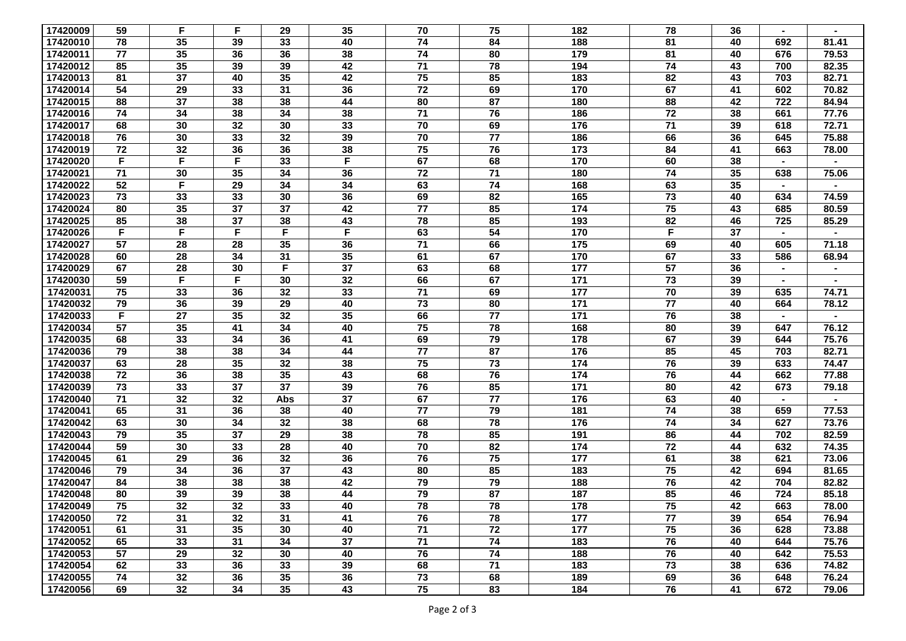| 17420009 | 59              | F  | F  | 29              | 35              | 70              | 75              | 182 | 78              | 36 |                |       |
|----------|-----------------|----|----|-----------------|-----------------|-----------------|-----------------|-----|-----------------|----|----------------|-------|
| 17420010 | 78              | 35 | 39 | 33              | 40              | 74              | 84              | 188 | 81              | 40 | 692            | 81.41 |
| 17420011 | 77              | 35 | 36 | 36              | 38              | 74              | 80              | 179 | 81              | 40 | 676            | 79.53 |
| 17420012 | 85              | 35 | 39 | 39              | 42              | 71              | 78              | 194 | 74              | 43 | 700            | 82.35 |
| 17420013 | 81              | 37 | 40 | 35              | 42              | 75              | 85              | 183 | 82              | 43 | 703            | 82.71 |
| 17420014 | 54              | 29 | 33 | 31              | 36              | $\overline{72}$ | 69              | 170 | 67              | 41 | 602            | 70.82 |
| 17420015 | 88              | 37 | 38 | 38              | 44              | 80              | 87              | 180 | 88              | 42 | 722            | 84.94 |
| 17420016 | 74              | 34 | 38 | 34              | 38              | 71              | 76              | 186 | 72              | 38 | 661            | 77.76 |
| 17420017 | 68              | 30 | 32 | 30              | 33              | 70              | 69              | 176 | 71              | 39 | 618            | 72.71 |
| 17420018 | 76              | 30 | 33 | 32              | 39              | 70              | $\overline{77}$ | 186 | 66              | 36 | 645            | 75.88 |
| 17420019 | 72              | 32 | 36 | 36              | 38              | 75              | 76              | 173 | 84              | 41 | 663            | 78.00 |
| 17420020 | F               | F  | F  | 33              | F               | 67              | 68              | 170 | 60              | 38 | $\sim$         |       |
| 17420021 | 71              | 30 | 35 | 34              | 36              | 72              | 71              | 180 | 74              | 35 | 638            | 75.06 |
| 17420022 | 52              | F  | 29 | 34              | 34              | 63              | 74              | 168 | 63              | 35 |                |       |
| 17420023 | 73              | 33 | 33 | 30              | 36              | 69              | 82              | 165 | 73              | 40 | 634            | 74.59 |
| 17420024 | 80              | 35 | 37 | 37              | 42              | 77              | 85              | 174 | 75              | 43 | 685            | 80.59 |
| 17420025 | 85              | 38 | 37 | 38              | 43              | 78              | 85              | 193 | 82              | 46 | 725            | 85.29 |
| 17420026 | F               | F  | F  | F               | $\overline{F}$  | 63              | 54              | 170 | F               | 37 | $\sim$         |       |
| 17420027 | 57              | 28 | 28 | 35              | 36              | 71              | 66              | 175 | 69              | 40 | 605            | 71.18 |
| 17420028 | 60              | 28 | 34 | 31              | 35              | 61              | 67              | 170 | 67              | 33 | 586            | 68.94 |
| 17420029 | 67              | 28 | 30 | F               | $\overline{37}$ | 63              | 68              | 177 | $\overline{57}$ | 36 | $\blacksquare$ |       |
| 17420030 | 59              | F  | F  | 30              | 32              | 66              | 67              | 171 | 73              | 39 |                |       |
| 17420031 | 75              | 33 | 36 | 32              | 33              | $\overline{71}$ | 69              | 177 | 70              | 39 | 635            | 74.71 |
| 17420032 | 79              | 36 | 39 | 29              | 40              | 73              | 80              | 171 | 77              | 40 | 664            | 78.12 |
| 17420033 | F               | 27 | 35 | 32              | 35              | 66              | 77              | 171 | 76              | 38 | $\blacksquare$ |       |
| 17420034 | 57              | 35 | 41 | 34              | 40              | 75              | 78              | 168 | 80              | 39 | 647            | 76.12 |
| 17420035 | 68              | 33 | 34 | 36              | 41              | 69              | 79              | 178 | 67              | 39 | 644            | 75.76 |
| 17420036 | 79              | 38 | 38 | 34              | 44              | 77              | 87              | 176 | 85              | 45 | 703            | 82.71 |
| 17420037 | 63              | 28 | 35 | 32              | 38              | 75              | 73              | 174 | 76              | 39 | 633            | 74.47 |
| 17420038 | 72              | 36 | 38 | 35              | 43              | 68              | 76              | 174 | 76              | 44 | 662            | 77.88 |
| 17420039 | 73              | 33 | 37 | 37              | 39              | 76              | 85              | 171 | 80              | 42 | 673            | 79.18 |
| 17420040 | 71              | 32 | 32 | Abs             | 37              | 67              | 77              | 176 | 63              | 40 | $\sim$         |       |
| 17420041 | 65              | 31 | 36 | 38              | 40              | 77              | 79              | 181 | 74              | 38 | 659            | 77.53 |
| 17420042 | 63              | 30 | 34 | 32              | 38              | 68              | 78              | 176 | 74              | 34 | 627            | 73.76 |
| 17420043 | 79              | 35 | 37 | 29              | 38              | 78              | 85              | 191 | 86              | 44 | 702            | 82.59 |
| 17420044 | 59              | 30 | 33 | 28              | 40              | 70              | 82              | 174 | $\overline{72}$ | 44 | 632            | 74.35 |
| 17420045 | 61              | 29 | 36 | 32              | 36              | 76              | 75              | 177 | 61              | 38 | 621            | 73.06 |
| 17420046 | 79              | 34 | 36 | 37              | 43              | 80              | 85              | 183 | 75              | 42 | 694            | 81.65 |
| 17420047 | 84              | 38 | 38 | 38              | 42              | 79              | 79              | 188 | 76              | 42 | 704            | 82.82 |
| 17420048 | 80              | 39 | 39 | 38              | 44              | 79              | 87              | 187 | 85              | 46 | 724            | 85.18 |
| 17420049 | $\overline{75}$ | 32 | 32 | 33              | 40              | 78              | 78              | 178 | 75              | 42 | 663            | 78.00 |
| 17420050 | 72              | 31 | 32 | 31              | 41              | 76              | 78              | 177 | 77              | 39 | 654            | 76.94 |
| 17420051 | 61              | 31 | 35 | 30              | 40              | 71              | 72              | 177 | 75              | 36 | 628            | 73.88 |
| 17420052 | 65              | 33 | 31 | 34              | 37              | 71              | 74              | 183 | 76              | 40 | 644            | 75.76 |
| 17420053 | 57              | 29 | 32 | 30              | 40              | 76              | 74              | 188 | 76              | 40 | 642            | 75.53 |
| 17420054 | 62              | 33 | 36 | 33              | 39              | 68              | 71              | 183 | 73              | 38 | 636            | 74.82 |
| 17420055 | 74              | 32 | 36 | 35              | 36              | $\overline{73}$ | 68              | 189 | 69              | 36 | 648            | 76.24 |
| 17420056 | 69              | 32 | 34 | $35\phantom{a}$ | 43              | 75              | 83              | 184 | 76              | 41 | 672            | 79.06 |